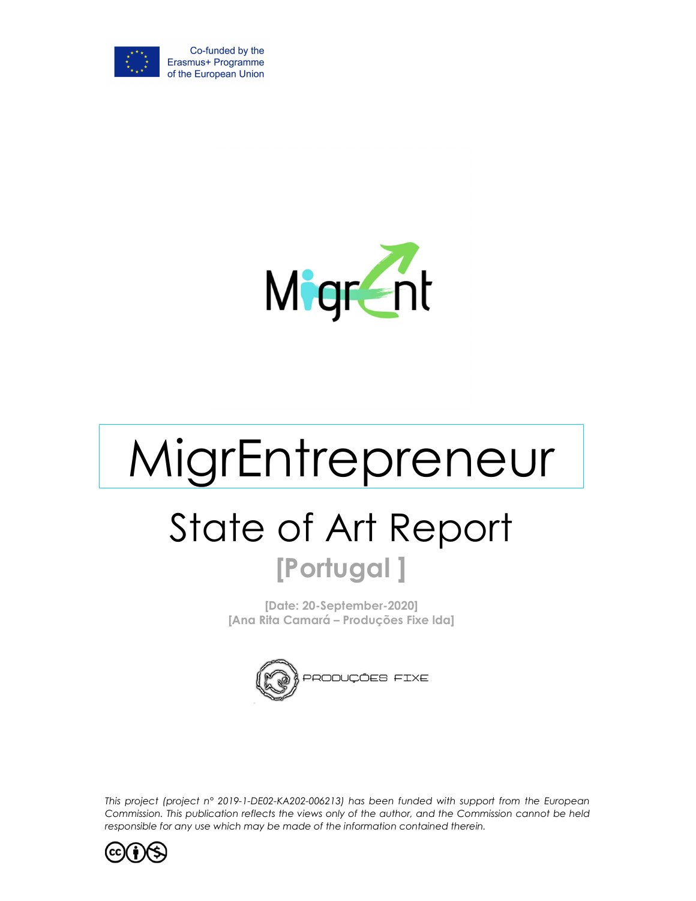



# MigrEntrepreneur State of Art Report [Portugal ]

[Date: 20-September-2020] [Ana Rita Camará – Produções Fixe lda]



This project (project n° 2019-1-DE02-KA202-006213) has been funded with support from the European Commission. This publication reflects the views only of the author, and the Commission cannot be held responsible for any use which may be made of the information contained therein.

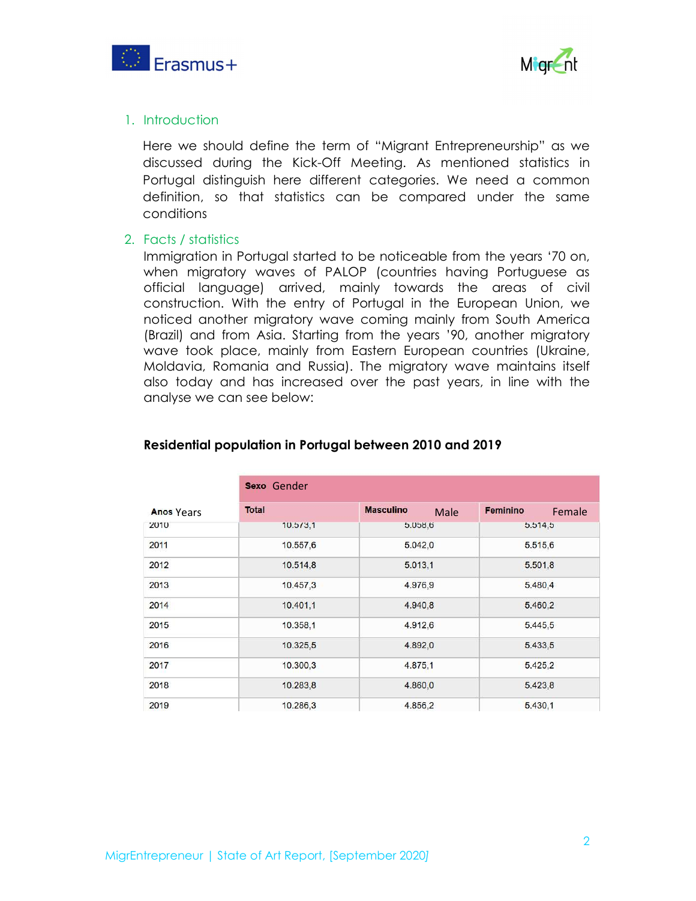



#### 1. Introduction

Here we should define the term of "Migrant Entrepreneurship" as we discussed during the Kick-Off Meeting. As mentioned statistics in Portugal distinguish here different categories. We need a common definition, so that statistics can be compared under the same conditions

#### 2. Facts / statistics

Immigration in Portugal started to be noticeable from the years '70 on, when migratory waves of PALOP (countries having Portuguese as official language) arrived, mainly towards the areas of civil construction. With the entry of Portugal in the European Union, we noticed another migratory wave coming mainly from South America (Brazil) and from Asia. Starting from the years '90, another migratory wave took place, mainly from Eastern European countries (Ukraine, Moldavia, Romania and Russia). The migratory wave maintains itself also today and has increased over the past years, in line with the analyse we can see below:

|                   | Sexo Gender  |                          |                    |
|-------------------|--------------|--------------------------|--------------------|
| <b>Anos Years</b> | <b>Total</b> | <b>Masculino</b><br>Male | Feminino<br>Female |
| 2010              | 10.5/3,1     | 5.056, 6                 | 5.514, 5           |
| 2011              | 10.557,6     | 5.042,0                  | 5.515,6            |
| 2012              | 10.514,8     | 5.013,1                  | 5.501,8            |
| 2013              | 10.457,3     | 4.976,9                  | 5.480,4            |
| 2014              | 10.401,1     | 4.940,8                  | 5.460,2            |
| 2015              | 10.358,1     | 4.912,6                  | 5.445,5            |
| 2016              | 10.325,5     | 4.892,0                  | 5.433,5            |
| 2017              | 10.300,3     | 4.875,1                  | 5.425,2            |
| 2018              | 10.283,8     | 4.860,0                  | 5.423,8            |
| 2019              | 10.286,3     | 4.856,2                  | 5.430,1            |

#### Residential population in Portugal between 2010 and 2019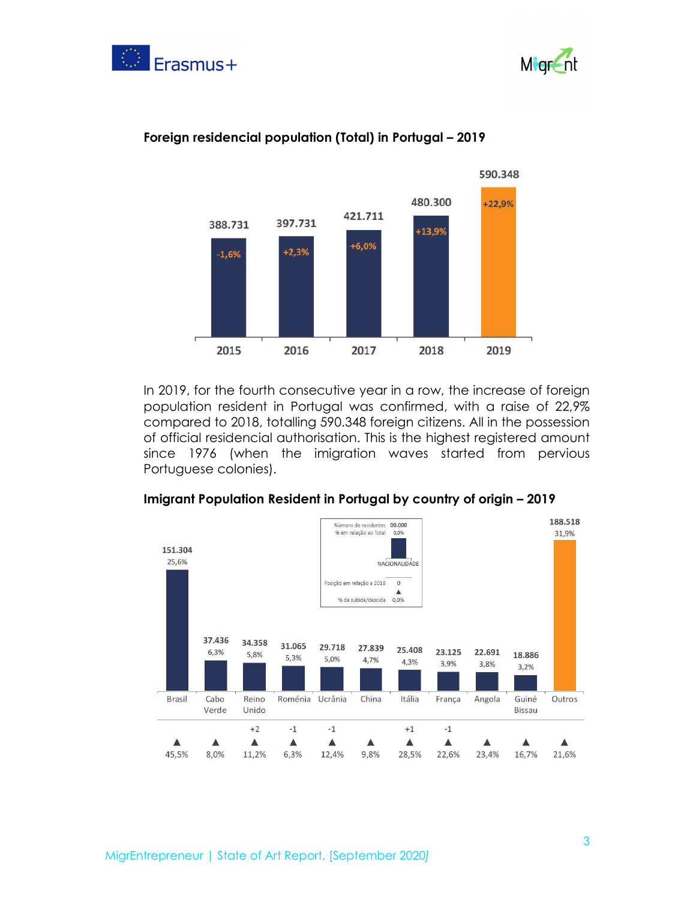





#### Foreign residencial population (Total) in Portugal – 2019

In 2019, for the fourth consecutive year in a row, the increase of foreign population resident in Portugal was confirmed, with a raise of 22,9% compared to 2018, totalling 590.348 foreign citizens. All in the possession of official residencial authorisation. This is the highest registered amount since 1976 (when the imigration waves started from pervious Portuguese colonies).



#### Imigrant Population Resident in Portugal by country of origin – 2019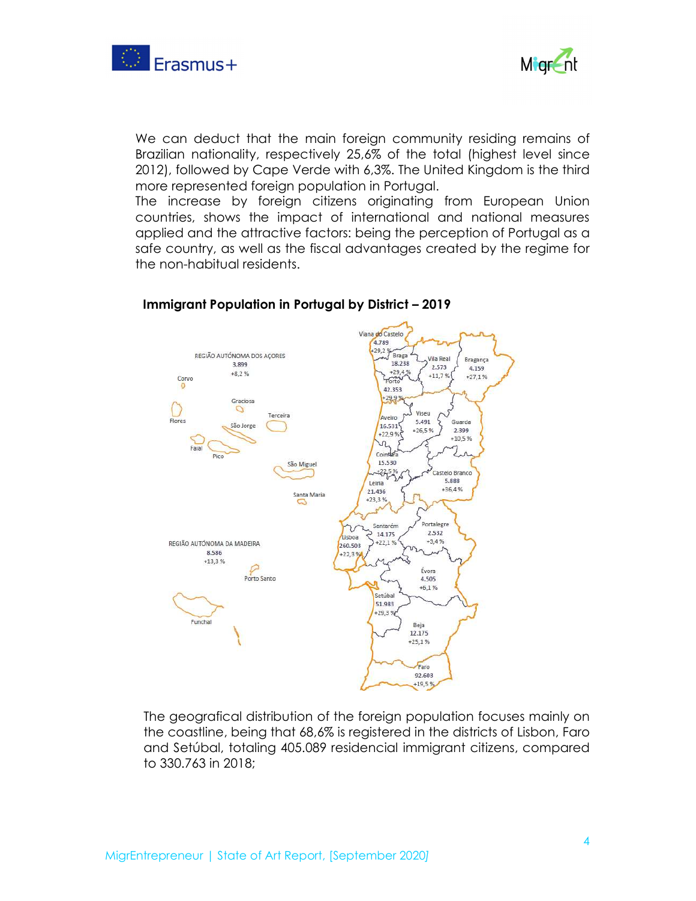



We can deduct that the main foreign community residing remains of Brazilian nationality, respectively 25,6% of the total (highest level since 2012), followed by Cape Verde with 6,3%. The United Kingdom is the third more represented foreign population in Portugal.

The increase by foreign citizens originating from European Union countries, shows the impact of international and national measures applied and the attractive factors: being the perception of Portugal as a safe country, as well as the fiscal advantages created by the regime for the non-habitual residents.



### Immigrant Population in Portugal by District – 2019

The geografical distribution of the foreign population focuses mainly on the coastline, being that 68,6% is registered in the districts of Lisbon, Faro and Setúbal, totaling 405.089 residencial immigrant citizens, compared to 330.763 in 2018;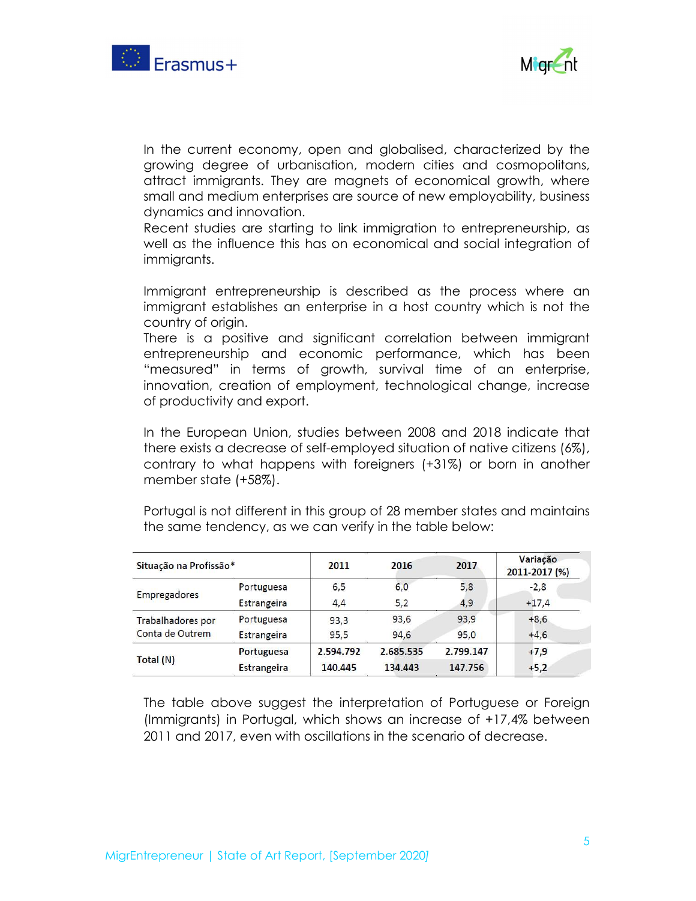



In the current economy, open and globalised, characterized by the growing degree of urbanisation, modern cities and cosmopolitans, attract immigrants. They are magnets of economical growth, where small and medium enterprises are source of new employability, business dynamics and innovation.

Recent studies are starting to link immigration to entrepreneurship, as well as the influence this has on economical and social integration of immigrants.

Immigrant entrepreneurship is described as the process where an immigrant establishes an enterprise in a host country which is not the country of origin.

There is a positive and significant correlation between immigrant entrepreneurship and economic performance, which has been "measured" in terms of growth, survival time of an enterprise, innovation, creation of employment, technological change, increase of productivity and export.

In the European Union, studies between 2008 and 2018 indicate that there exists a decrease of self-employed situation of native citizens (6%), contrary to what happens with foreigners (+31%) or born in another member state (+58%).

Portugal is not different in this group of 28 member states and maintains the same tendency, as we can verify in the table below:

| Situação na Profissão* |                    | 2011      | 2016      | 2017      | Variação<br>2011-2017 (%) |
|------------------------|--------------------|-----------|-----------|-----------|---------------------------|
|                        | Portuguesa         | 6, 5      | 6,0       | 5,8       | $-2,8$                    |
| Empregadores           | Estrangeira        | 4,4       | 5,2       | 4,9       | $+17,4$                   |
| Trabalhadores por      | Portuguesa         | 93,3      | 93,6      | 93,9      | $+8,6$                    |
| Conta de Outrem        | Estrangeira        | 95.5      | 94.6      | 95.0      | $+4,6$                    |
|                        | <b>Portuguesa</b>  | 2.594.792 | 2.685.535 | 2.799.147 | $+7,9$                    |
| Total (N)              | <b>Estrangeira</b> | 140.445   | 134.443   | 147.756   | $+5,2$                    |

The table above suggest the interpretation of Portuguese or Foreign (Immigrants) in Portugal, which shows an increase of +17,4% between 2011 and 2017, even with oscillations in the scenario of decrease.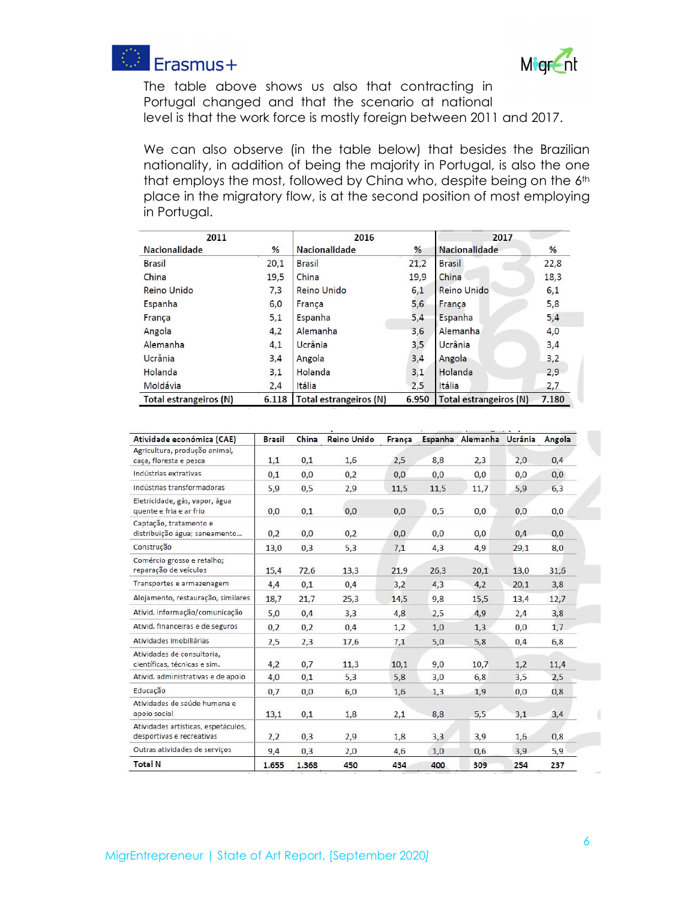



The table above shows us also that contracting in Portugal changed and that the scenario at national level is that the work force is mostly foreign between 2011 and 2017.

We can also observe (in the table below) that besides the Brazilian nationality, in addition of being the majority in Portugal, is also the one that employs the most, followed by China who, despite being on the 6th place in the migratory flow, is at the second position of most employing in Portugal.

| 2011                   |       | 2016                   |       | 2017                   |       |  |
|------------------------|-------|------------------------|-------|------------------------|-------|--|
| Nacionalidade          | %     | Nacionalidade          | %     | Nacionalidade          | %     |  |
| <b>Brasil</b>          | 20,1  | <b>Brasil</b>          | 21,2  | <b>Brasil</b>          | 22,8  |  |
| China                  | 19,5  | China                  | 19,9  | China                  | 18,3  |  |
| Reino Unido            | 7,3   | <b>Reino Unido</b>     | 6,1   | Reino Unido            | 6,1   |  |
| Espanha                | 6,0   | França                 | 5,6   | França                 | 5,8   |  |
| França                 | 5,1   | Espanha                | 5,4   | Espanha                | 5,4   |  |
| Angola                 | 4,2   | Alemanha               | 3,6   | Alemanha               | 4,0   |  |
| Alemanha               | 4,1   | Ucrânia                | 3,5   | Ucrânia                | 3,4   |  |
| Ucrânia                | 3,4   | Angola                 | 3,4   | Angola                 | 3,2   |  |
| Holanda                | 3,1   | Holanda                | 3,1   | Holanda                | 2,9   |  |
| Moldávia               | 2,4   | Itália                 | 2,5   | Itália                 | 2,7   |  |
| Total estrangeiros (N) | 6.118 | Total estrangeiros (N) | 6.950 | Total estrangeiros (N) | 7.180 |  |

| Atividade económica (CAE)                                        | <b>Brasil</b> | China | Reino Unido | França |      | Espanha Alemanha Ucrânia |      | Angola |
|------------------------------------------------------------------|---------------|-------|-------------|--------|------|--------------------------|------|--------|
| Agricultura, produção animal,<br>caça, floresta e pesca          | 1,1           | 0,1   | 1,6         | 2,5    | 8,8  | 2,3                      | 2,0  | 0,4    |
| Indústrias extrativas                                            | 0,1           | 0,0   | 0,2         | 0,0    | 0,0  | 0,0                      | 0,0  | 0,0    |
| Indústrias transformadoras                                       | 5,9           | 0,5   | 2,9         | 11,5   | 11,5 | 11,7                     | 5,9  | 6,3    |
| Eletricidade, gás, vapor, água<br>quente e fria e ar frio        | 0,0           | 0,1   | 0,0         | 0,0    | 0,5  | 0,0                      | 0,0  | 0,0    |
| Captação, tratamento e<br>distribuição água; saneamento          | 0,2           | 0,0   | 0,2         | 0,0    | 0,0  | 0,0                      | 0,4  | 0,0    |
| Construção                                                       | 13,0          | 0,3   | 5,3         | 7,1    | 4,3  | 4,9                      | 29,1 | 8,0    |
| Comércio grosso e retalho;<br>reparação de veículos              | 15,4          | 72,6  | 13,3        | 21,9   | 26,3 | 20,1                     | 13,0 | 31,6   |
| Transportes e armazenagem                                        | 4,4           | 0,1   | 0,4         | 3,2    | 4,3  | 4,2                      | 20,1 | 3,8    |
| Alojamento, restauração, similares                               | 18,7          | 21,7  | 25,3        | 14,5   | 9,8  | 15,5                     | 13,4 | 12,7   |
| Ativid. informação/comunicação                                   | 5,0           | 0,4   | 3,3         | 4,8    | 2,5  | 4,9                      | 2,4  | 3,8    |
| Ativid. financeiras e de seguros                                 | 0,2           | 0,2   | 0,4         | 1,2    | 1,0  | 1,3                      | 0,0  | 1,7    |
| Atividades imobiliárias                                          | 2,5           | 2,3   | 17,6        | 7,1    | 5,0  | 5,8                      | 0,4  | 6,8    |
| Atividades de consultoria,<br>científicas, técnicas e sim.       | 4,2           | 0,7   | 11,3        | 10,1   | 9,0  | 10,7                     | 1,2  | 11,4   |
| Ativid. administrativas e de apoio                               | 4,0           | 0,1   | 5,3         | 5,8    | 3,0  | 6,8                      | 3,5  | 2,5    |
| Educação                                                         | 0,7           | 0,0   | 6,0         | 1,6    | 1,3  | 1,9                      | 0,0  | 0,8    |
| Atividades de saúde humana e<br>apoio social                     | 13,1          | 0,1   | 1,8         | 2,1    | 8,8  | 5,5                      | 3,1  | 3,4    |
| Atividades artísticas, espetáculos,<br>desportivas e recreativas | 2,2           | 0,3   | 2,9         | 1,8    | 3,3  | 3,9                      | 1,6  | 0,8    |
| Outras atividades de serviços                                    | 9,4           | 0,3   | 2,0         | 4,6    | 1,0  | 0.6                      | 3,9  | 5,9    |
| <b>Total N</b>                                                   | 1.655         | 1.368 | 450         | 434    | 400  | 309                      | 254  | 237    |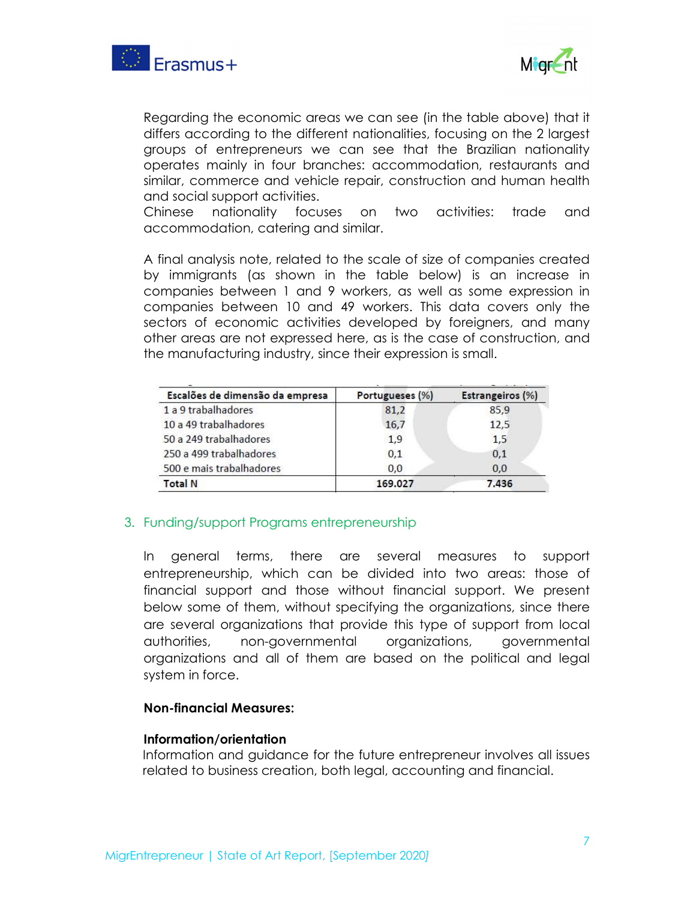



Regarding the economic areas we can see (in the table above) that it differs according to the different nationalities, focusing on the 2 largest groups of entrepreneurs we can see that the Brazilian nationality operates mainly in four branches: accommodation, restaurants and similar, commerce and vehicle repair, construction and human health and social support activities.

Chinese nationality focuses on two activities: trade and accommodation, catering and similar.

A final analysis note, related to the scale of size of companies created by immigrants (as shown in the table below) is an increase in companies between 1 and 9 workers, as well as some expression in companies between 10 and 49 workers. This data covers only the sectors of economic activities developed by foreigners, and many other areas are not expressed here, as is the case of construction, and the manufacturing industry, since their expression is small.

| Portugueses (%) | Estrangeiros (%) |
|-----------------|------------------|
| 81,2            | 85.9             |
| 16,7            | 12,5             |
| 1,9             | 1,5              |
| 0,1             | 0,1              |
| 0,0             | 0,0              |
| 169.027         | 7.436            |
|                 |                  |

#### 3. Funding/support Programs entrepreneurship

In general terms, there are several measures to support entrepreneurship, which can be divided into two areas: those of financial support and those without financial support. We present below some of them, without specifying the organizations, since there are several organizations that provide this type of support from local authorities, non-governmental organizations, governmental organizations and all of them are based on the political and legal system in force.

#### Non-financial Measures:

#### Information/orientation

Information and guidance for the future entrepreneur involves all issues related to business creation, both legal, accounting and financial.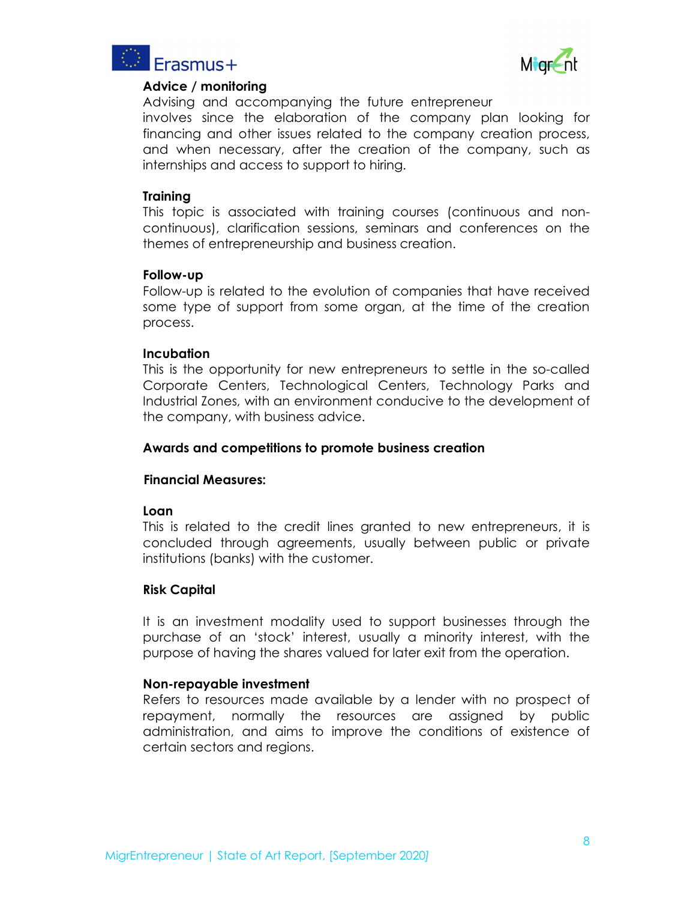



#### Advice / monitoring

Advising and accompanying the future entrepreneur

involves since the elaboration of the company plan looking for financing and other issues related to the company creation process, and when necessary, after the creation of the company, such as internships and access to support to hiring.

#### **Training**

This topic is associated with training courses (continuous and noncontinuous), clarification sessions, seminars and conferences on the themes of entrepreneurship and business creation.

#### Follow-up

Follow-up is related to the evolution of companies that have received some type of support from some organ, at the time of the creation process.

#### **Incubation**

This is the opportunity for new entrepreneurs to settle in the so-called Corporate Centers, Technological Centers, Technology Parks and Industrial Zones, with an environment conducive to the development of the company, with business advice.

#### Awards and competitions to promote business creation

#### Financial Measures:

## Loan

This is related to the credit lines granted to new entrepreneurs, it is concluded through agreements, usually between public or private institutions (banks) with the customer.

#### Risk Capital

It is an investment modality used to support businesses through the purchase of an 'stock' interest, usually a minority interest, with the purpose of having the shares valued for later exit from the operation.

#### Non-repayable investment

Refers to resources made available by a lender with no prospect of repayment, normally the resources are assigned by public administration, and aims to improve the conditions of existence of certain sectors and regions.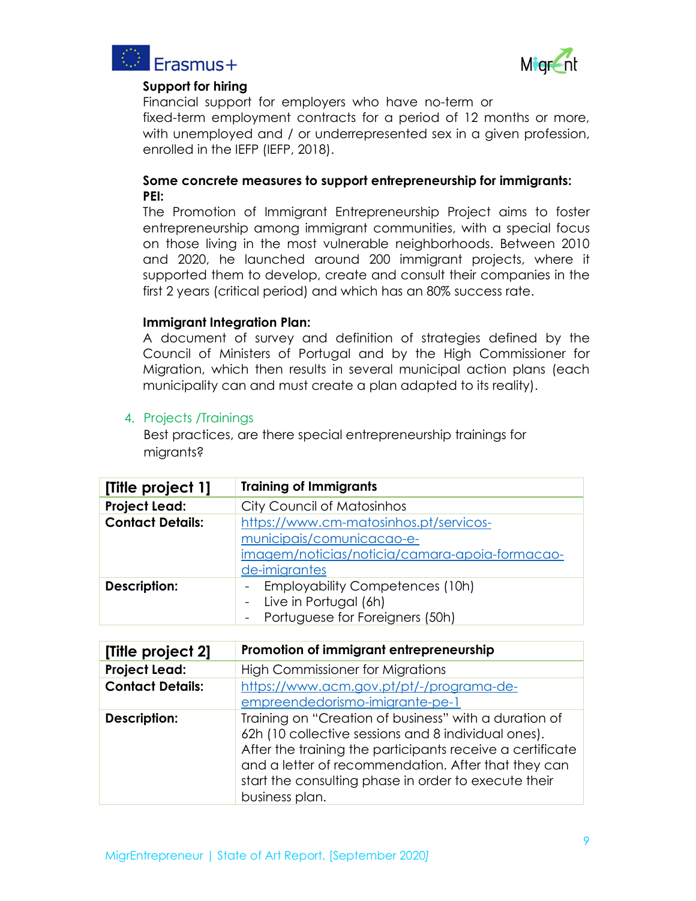



## Support for hiring

Financial support for employers who have no-term or fixed-term employment contracts for a period of 12 months or more, with unemployed and / or underrepresented sex in a given profession, enrolled in the IEFP (IEFP, 2018).

### Some concrete measures to support entrepreneurship for immigrants: PEI:

The Promotion of Immigrant Entrepreneurship Project aims to foster entrepreneurship among immigrant communities, with a special focus on those living in the most vulnerable neighborhoods. Between 2010 and 2020, he launched around 200 immigrant projects, where it supported them to develop, create and consult their companies in the first 2 years (critical period) and which has an 80% success rate.

Immigrant Integration Plan:<br>A document of survey and definition of strategies defined by the Council of Ministers of Portugal and by the High Commissioner for Migration, which then results in several municipal action plans (each municipality can and must create a plan adapted to its reality).

### 4. Projects /Trainings

Best practices, are there special entrepreneurship trainings for miarants?

| [Title project 1]       | <b>Training of Immigrants</b>                  |
|-------------------------|------------------------------------------------|
| <b>Project Lead:</b>    | <b>City Council of Matosinhos</b>              |
| <b>Contact Details:</b> | https://www.cm-matosinhos.pt/servicos-         |
|                         | municipais/comunicacao-e-                      |
|                         | imagem/noticias/noticia/camara-apoia-formacao- |
|                         | de-imigrantes                                  |
| Description:            | - Employability Competences (10h)              |
|                         | - Live in Portugal (6h)                        |
|                         | - Portuguese for Foreigners (50h)              |

| [Title project 2]       | Promotion of immigrant entrepreneurship                                                                                                                                                                                                                                                                    |
|-------------------------|------------------------------------------------------------------------------------------------------------------------------------------------------------------------------------------------------------------------------------------------------------------------------------------------------------|
| <b>Project Lead:</b>    | <b>High Commissioner for Migrations</b>                                                                                                                                                                                                                                                                    |
| <b>Contact Details:</b> | https://www.acm.gov.pt/pt/-/programa-de-                                                                                                                                                                                                                                                                   |
|                         | empreendedorismo-imigrante-pe-1                                                                                                                                                                                                                                                                            |
| Description:            | Training on "Creation of business" with a duration of<br>62h (10 collective sessions and 8 individual ones).<br>After the training the participants receive a certificate<br>and a letter of recommendation. After that they can<br>start the consulting phase in order to execute their<br>business plan. |